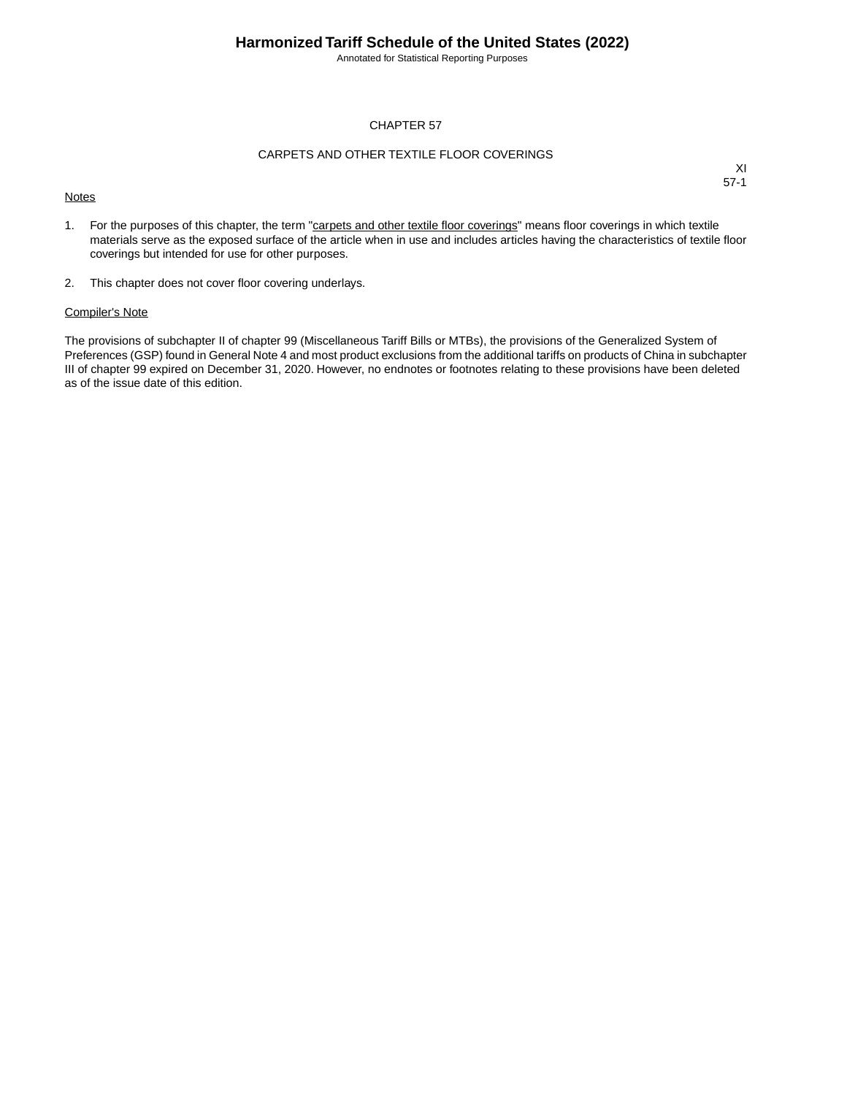Annotated for Statistical Reporting Purposes

#### CHAPTER 57

#### CARPETS AND OTHER TEXTILE FLOOR COVERINGS

#### **Notes**

XI 57-1

- 1. For the purposes of this chapter, the term "carpets and other textile floor coverings" means floor coverings in which textile materials serve as the exposed surface of the article when in use and includes articles having the characteristics of textile floor coverings but intended for use for other purposes.
- 2. This chapter does not cover floor covering underlays.

#### Compiler's Note

The provisions of subchapter II of chapter 99 (Miscellaneous Tariff Bills or MTBs), the provisions of the Generalized System of Preferences (GSP) found in General Note 4 and most product exclusions from the additional tariffs on products of China in subchapter III of chapter 99 expired on December 31, 2020. However, no endnotes or footnotes relating to these provisions have been deleted as of the issue date of this edition.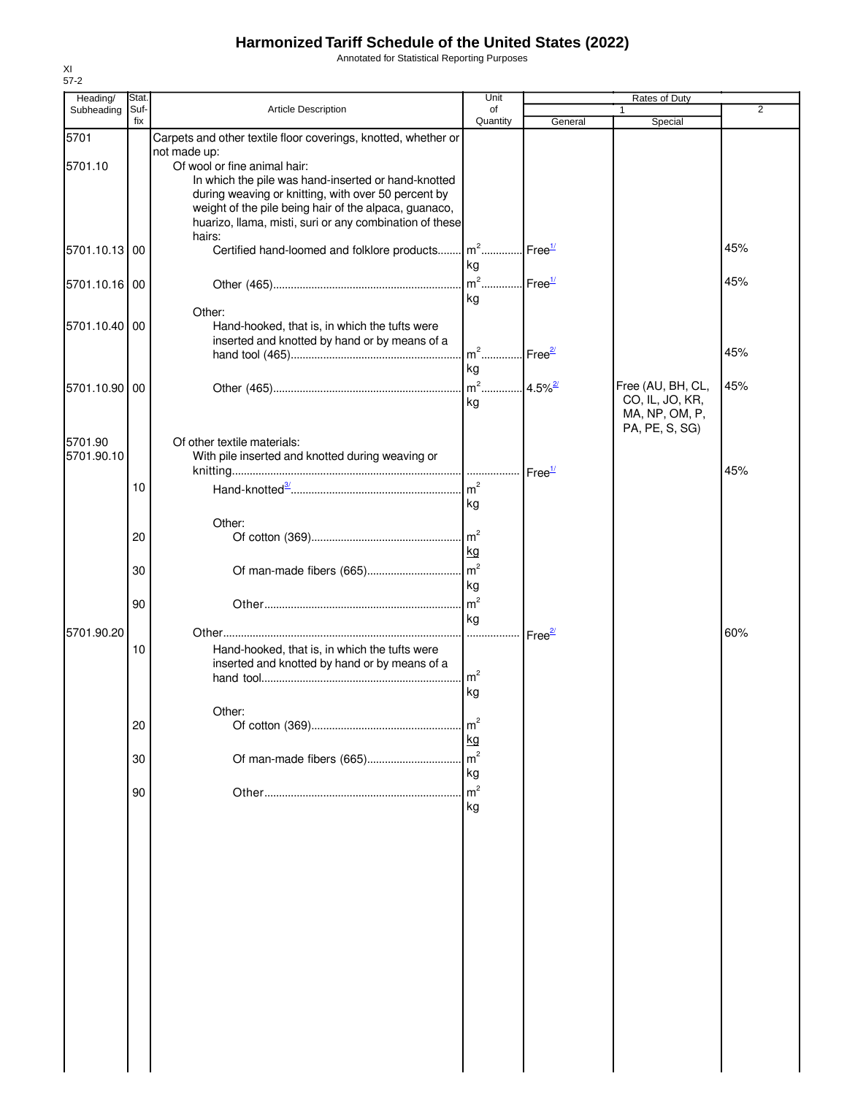Annotated for Statistical Reporting Purposes

| Heading/      | Stat.       |                                                                                                | Unit                              | Rates of Duty      |                                  |     |  |
|---------------|-------------|------------------------------------------------------------------------------------------------|-----------------------------------|--------------------|----------------------------------|-----|--|
| Subheading    | Suf-<br>fix | <b>Article Description</b>                                                                     | of<br>Quantity                    | General            | Special                          | 2   |  |
| 5701          |             | Carpets and other textile floor coverings, knotted, whether or                                 |                                   |                    |                                  |     |  |
|               |             | not made up:                                                                                   |                                   |                    |                                  |     |  |
| 5701.10       |             | Of wool or fine animal hair:<br>In which the pile was hand-inserted or hand-knotted            |                                   |                    |                                  |     |  |
|               |             | during weaving or knitting, with over 50 percent by                                            |                                   |                    |                                  |     |  |
|               |             | weight of the pile being hair of the alpaca, guanaco,                                          |                                   |                    |                                  |     |  |
|               |             | huarizo, llama, misti, suri or any combination of these                                        |                                   |                    |                                  |     |  |
| 5701.10.13 00 |             | hairs:<br>Certified hand-loomed and folklore products                                          | $\mathsf{Im}^2$ .                 | Free $\frac{1}{2}$ |                                  | 45% |  |
|               |             |                                                                                                | kg                                |                    |                                  |     |  |
| 5701.10.16 00 |             |                                                                                                | $m2$ .                            | Free <sup>1/</sup> |                                  | 45% |  |
|               |             |                                                                                                | kg                                |                    |                                  |     |  |
|               |             | Other:                                                                                         |                                   |                    |                                  |     |  |
| 5701.10.40 00 |             | Hand-hooked, that is, in which the tufts were<br>inserted and knotted by hand or by means of a |                                   |                    |                                  |     |  |
|               |             |                                                                                                | m <sup>2</sup> Free <sup>2/</sup> |                    |                                  | 45% |  |
|               |             |                                                                                                | kg                                |                    |                                  |     |  |
| 5701.10.90 00 |             |                                                                                                | $m^2$ 4.5% <sup>27</sup>          |                    | Free (AU, BH, CL,                | 45% |  |
|               |             |                                                                                                | kg                                |                    | CO, IL, JO, KR,                  |     |  |
|               |             |                                                                                                |                                   |                    | MA, NP, OM, P,<br>PA, PE, S, SG) |     |  |
| 5701.90       |             | Of other textile materials:                                                                    |                                   |                    |                                  |     |  |
| 5701.90.10    |             | With pile inserted and knotted during weaving or                                               |                                   |                    |                                  |     |  |
|               |             |                                                                                                |                                   |                    |                                  | 45% |  |
|               | 10          |                                                                                                | $\mathsf{m}^2$                    |                    |                                  |     |  |
|               |             |                                                                                                | kg                                |                    |                                  |     |  |
|               |             | Other:                                                                                         | m <sup>2</sup>                    |                    |                                  |     |  |
|               | 20          |                                                                                                | kg                                |                    |                                  |     |  |
|               | 30          | Of man-made fibers (665)                                                                       | $\mathsf{m}^2$                    |                    |                                  |     |  |
|               |             |                                                                                                | kg                                |                    |                                  |     |  |
|               | 90          |                                                                                                | m <sup>2</sup>                    |                    |                                  |     |  |
|               |             |                                                                                                | kg                                |                    |                                  |     |  |
| 5701.90.20    |             |                                                                                                |                                   | Free <sup>2/</sup> |                                  | 60% |  |
|               | 10          | Hand-hooked, that is, in which the tufts were                                                  |                                   |                    |                                  |     |  |
|               |             | inserted and knotted by hand or by means of a                                                  | m <sup>2</sup>                    |                    |                                  |     |  |
|               |             |                                                                                                | kg                                |                    |                                  |     |  |
|               |             | Other:                                                                                         |                                   |                    |                                  |     |  |
|               | 20          |                                                                                                | m <sup>2</sup>                    |                    |                                  |     |  |
|               |             |                                                                                                | kg                                |                    |                                  |     |  |
|               | 30          |                                                                                                | m <sup>2</sup>                    |                    |                                  |     |  |
|               |             |                                                                                                | kg                                |                    |                                  |     |  |
|               | 90          |                                                                                                | m <sup>2</sup><br>kg              |                    |                                  |     |  |
|               |             |                                                                                                |                                   |                    |                                  |     |  |
|               |             |                                                                                                |                                   |                    |                                  |     |  |
|               |             |                                                                                                |                                   |                    |                                  |     |  |
|               |             |                                                                                                |                                   |                    |                                  |     |  |
|               |             |                                                                                                |                                   |                    |                                  |     |  |
|               |             |                                                                                                |                                   |                    |                                  |     |  |
|               |             |                                                                                                |                                   |                    |                                  |     |  |
|               |             |                                                                                                |                                   |                    |                                  |     |  |
|               |             |                                                                                                |                                   |                    |                                  |     |  |
|               |             |                                                                                                |                                   |                    |                                  |     |  |
|               |             |                                                                                                |                                   |                    |                                  |     |  |
|               |             |                                                                                                |                                   |                    |                                  |     |  |
|               |             |                                                                                                |                                   |                    |                                  |     |  |
|               |             |                                                                                                |                                   |                    |                                  |     |  |
|               |             |                                                                                                |                                   |                    |                                  |     |  |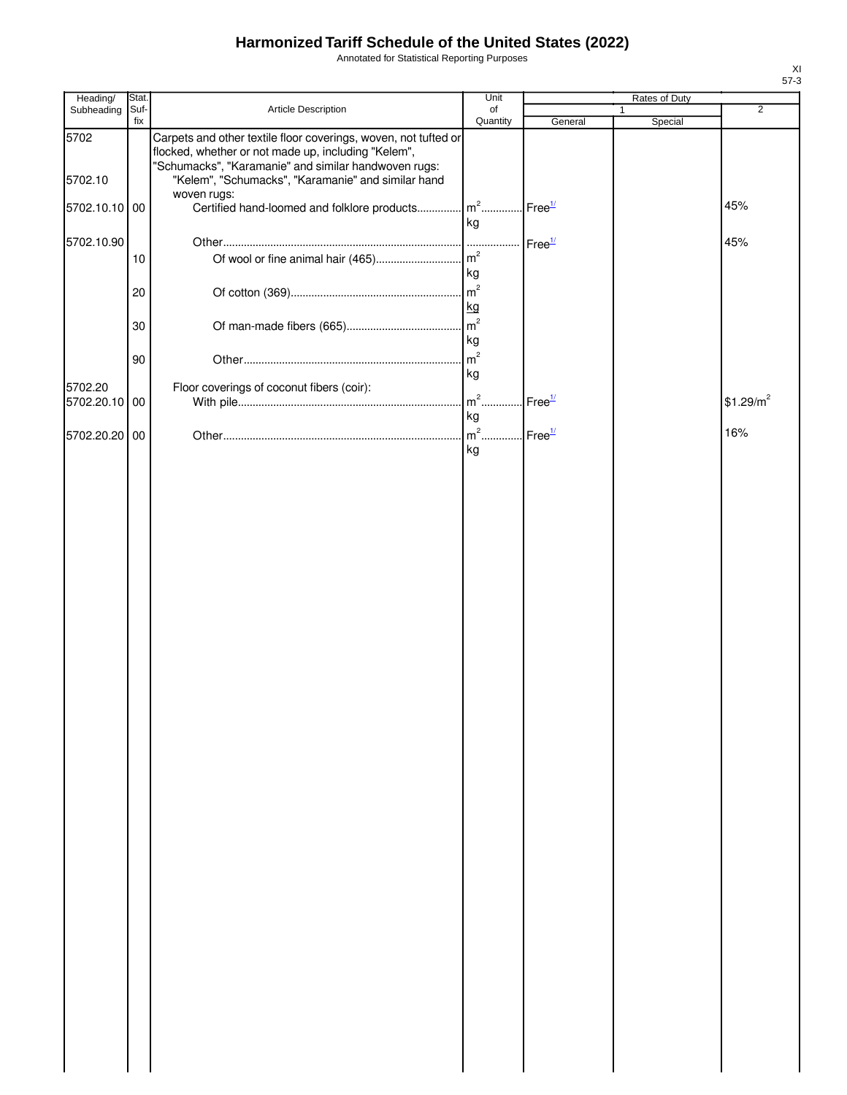Annotated for Statistical Reporting Purposes

| Heading/                 | Stat.       |                                                                                                                                                                                | Unit                 |                    |   | Rates of Duty |                       |
|--------------------------|-------------|--------------------------------------------------------------------------------------------------------------------------------------------------------------------------------|----------------------|--------------------|---|---------------|-----------------------|
| Subheading               | Suf-<br>fix | Article Description                                                                                                                                                            | of<br>Quantity       | General            | 1 | Special       | $\overline{2}$        |
| 5702                     |             | Carpets and other textile floor coverings, woven, not tufted or<br>flocked, whether or not made up, including "Kelem",<br>"Schumacks", "Karamanie" and similar handwoven rugs: |                      |                    |   |               |                       |
| 5702.10                  |             | "Kelem", "Schumacks", "Karamanie" and similar hand<br>woven rugs:                                                                                                              |                      |                    |   |               |                       |
| 5702.10.10               | 00          | Certified hand-loomed and folklore products                                                                                                                                    | $m2$ .<br>kg         | Free <sup>1/</sup> |   |               | 45%                   |
| 5702.10.90               | 10          | Of wool or fine animal hair (465)                                                                                                                                              | m <sup>2</sup>       | Free <sup>1/</sup> |   |               | 45%                   |
|                          |             |                                                                                                                                                                                | kg                   |                    |   |               |                       |
|                          | 20          |                                                                                                                                                                                | m <sup>2</sup><br>kg |                    |   |               |                       |
|                          | 30          |                                                                                                                                                                                | m <sup>2</sup><br>kg |                    |   |               |                       |
|                          | 90          |                                                                                                                                                                                | m <sup>2</sup><br>kg |                    |   |               |                       |
| 5702.20<br>5702.20.10 00 |             | Floor coverings of coconut fibers (coir):                                                                                                                                      | $m2$ .               | Free <sup>1/</sup> |   |               | \$1.29/m <sup>2</sup> |
| 5702.20.20 00            |             |                                                                                                                                                                                | kg<br>$m2$ .         | Free <sup>1/</sup> |   |               | 16%                   |
|                          |             |                                                                                                                                                                                | kg                   |                    |   |               |                       |
|                          |             |                                                                                                                                                                                |                      |                    |   |               |                       |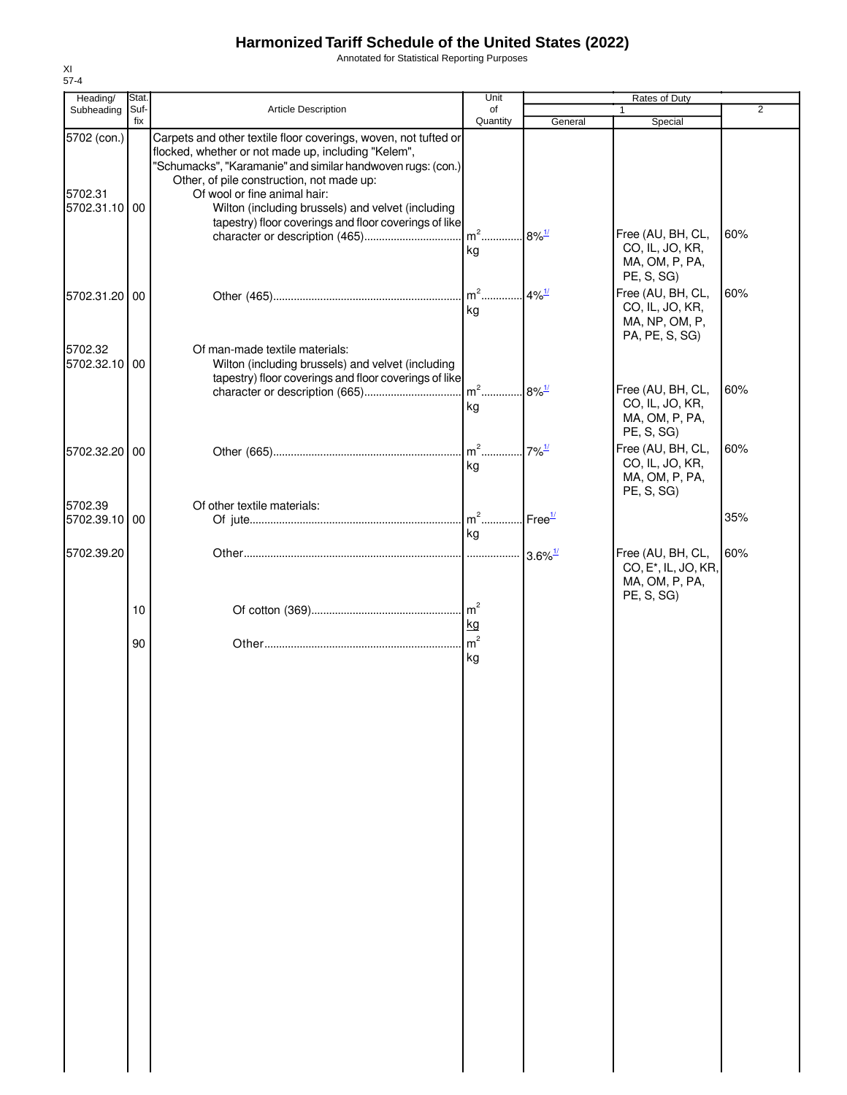Annotated for Statistical Reporting Purposes

| Heading/                                | Stat.       |                                                                                                                                                                                                                                                                                                                                                                                  | Unit           |                        |                                                                                                          |                |
|-----------------------------------------|-------------|----------------------------------------------------------------------------------------------------------------------------------------------------------------------------------------------------------------------------------------------------------------------------------------------------------------------------------------------------------------------------------|----------------|------------------------|----------------------------------------------------------------------------------------------------------|----------------|
| Subheading                              | Suf-<br>fix | Article Description                                                                                                                                                                                                                                                                                                                                                              | of<br>Quantity | General                | Special                                                                                                  | $\overline{2}$ |
| 5702 (con.)<br>5702.31<br>5702.31.10 00 |             | Carpets and other textile floor coverings, woven, not tufted or<br>flocked, whether or not made up, including "Kelem",<br>"Schumacks", "Karamanie" and similar handwoven rugs: (con.)<br>Other, of pile construction, not made up:<br>Of wool or fine animal hair:<br>Wilton (including brussels) and velvet (including<br>tapestry) floor coverings and floor coverings of like |                |                        | Free (AU, BH, CL,<br>CO, IL, JO, KR,                                                                     | 60%            |
| 5702.31.20 00                           |             |                                                                                                                                                                                                                                                                                                                                                                                  | kg<br>kg       | $4\%$ <sup>1/</sup>    | MA, OM, P, PA,<br>PE, S, SG)<br>Free (AU, BH, CL,<br>CO, IL, JO, KR,<br>MA, NP, OM, P,<br>PA, PE, S, SG) | 60%            |
| 5702.32<br>5702.32.10 00                |             | Of man-made textile materials:<br>Wilton (including brussels) and velvet (including<br>tapestry) floor coverings and floor coverings of like                                                                                                                                                                                                                                     | kg             | $8\%$ <sup>1/</sup>    | Free (AU, BH, CL,<br>CO, IL, JO, KR,<br>MA, OM, P, PA,<br>PE, S, SG)                                     | 60%            |
| 5702.32.20 00                           |             |                                                                                                                                                                                                                                                                                                                                                                                  | $m2$<br>kg     | $7\%$ <sup>1/</sup>    | Free (AU, BH, CL,<br>CO, IL, JO, KR,<br>MA, OM, P, PA,<br>PE, S, SG)                                     | 60%            |
| 5702.39<br>5702.39.10 00                |             | Of other textile materials:                                                                                                                                                                                                                                                                                                                                                      | kg             | $I$ Free $\frac{1}{2}$ |                                                                                                          | 35%            |
| 5702.39.20                              |             |                                                                                                                                                                                                                                                                                                                                                                                  |                | $3.6\%$ <sup>1/</sup>  | Free (AU, BH, CL,<br>CO, E <sup>*</sup> , IL, JO, KR,<br>MA, OM, P, PA,<br>PE, S, SG)                    | 60%            |
|                                         | 10          |                                                                                                                                                                                                                                                                                                                                                                                  | kg             |                        |                                                                                                          |                |
|                                         | 90          |                                                                                                                                                                                                                                                                                                                                                                                  | kg             |                        |                                                                                                          |                |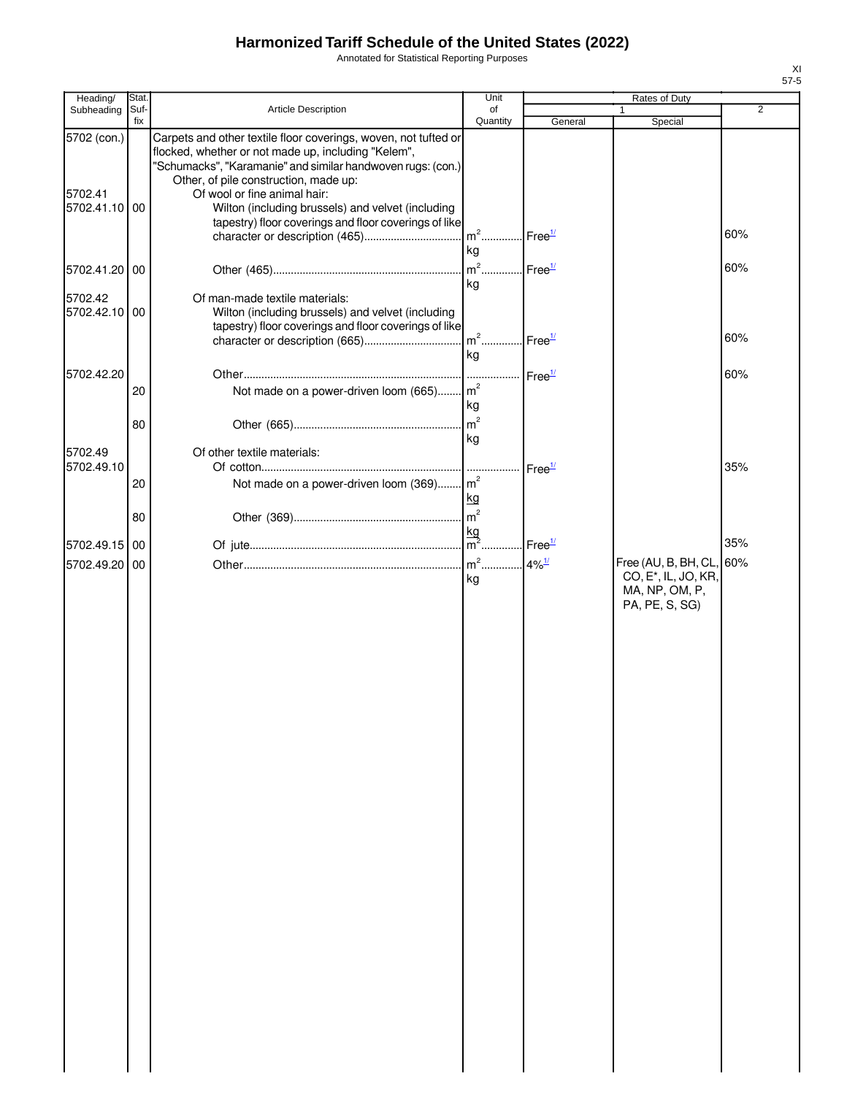Annotated for Statistical Reporting Purposes

| Heading/                             | Stat.       |                                                                                                                                                                                                                                                                                                                                                                              | Unit                          |                    | Rates of Duty                                                        |                |
|--------------------------------------|-------------|------------------------------------------------------------------------------------------------------------------------------------------------------------------------------------------------------------------------------------------------------------------------------------------------------------------------------------------------------------------------------|-------------------------------|--------------------|----------------------------------------------------------------------|----------------|
| Subheading                           | Suf-<br>fix | Article Description                                                                                                                                                                                                                                                                                                                                                          | of<br>Quantity                | General            | Special                                                              | $\overline{2}$ |
| 5702 (con.)<br>5702.41<br>5702.41.10 | 00          | Carpets and other textile floor coverings, woven, not tufted or<br>flocked, whether or not made up, including "Kelem",<br>"Schumacks", "Karamanie" and similar handwoven rugs: (con.)<br>Other, of pile construction, made up:<br>Of wool or fine animal hair:<br>Wilton (including brussels) and velvet (including<br>tapestry) floor coverings and floor coverings of like |                               |                    |                                                                      |                |
|                                      |             | character or description (465)                                                                                                                                                                                                                                                                                                                                               | $m^2$<br>kg                   | Free <sup>1/</sup> |                                                                      | 60%            |
| 5702.41.20                           | 00          |                                                                                                                                                                                                                                                                                                                                                                              | $m^2$                         | Free <sup>1/</sup> |                                                                      | 60%            |
| 5702.42<br>5702.42.10 00             |             | Of man-made textile materials:<br>Wilton (including brussels) and velvet (including<br>tapestry) floor coverings and floor coverings of like                                                                                                                                                                                                                                 | kg<br>$m2$<br>kg              | Free <sup>1/</sup> |                                                                      | 60%            |
|                                      |             |                                                                                                                                                                                                                                                                                                                                                                              |                               |                    |                                                                      |                |
| 5702.42.20                           | 20<br>80    | Not made on a power-driven loom (665) m <sup>2</sup>                                                                                                                                                                                                                                                                                                                         | . <br>.<br>kg<br>$\sqrt{m^2}$ | Free <sup>1/</sup> |                                                                      | 60%            |
| 5702.49<br>5702.49.10                |             | Of other textile materials:                                                                                                                                                                                                                                                                                                                                                  | kg                            |                    |                                                                      | 35%            |
|                                      | 20          | Not made on a power-driven loom (369) m <sup>2</sup>                                                                                                                                                                                                                                                                                                                         | kg                            | Free <sup>1/</sup> |                                                                      |                |
|                                      | 80          |                                                                                                                                                                                                                                                                                                                                                                              | m <sup>2</sup>                |                    |                                                                      | 35%            |
| 5702.49.15 00                        |             |                                                                                                                                                                                                                                                                                                                                                                              |                               |                    | Free (AU, B, BH, CL,                                                 | 60%            |
| 5702.49.20                           | 00          |                                                                                                                                                                                                                                                                                                                                                                              | kg                            |                    | CO, E <sup>*</sup> , IL, JO, KR,<br>MA, NP, OM, P,<br>PA, PE, S, SG) |                |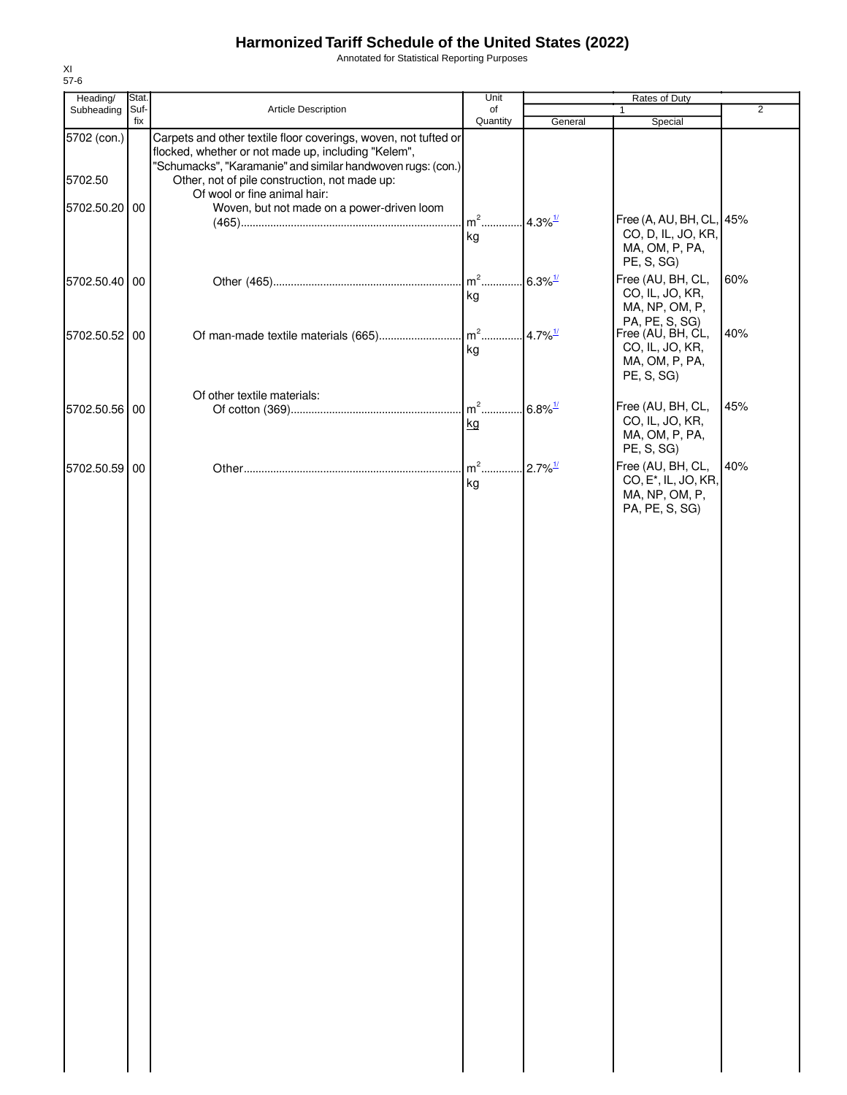Annotated for Statistical Reporting Purposes

| Heading/      | Stat. |                                                                                                                        | Unit              | Rates of Duty         |                                                                  |     |
|---------------|-------|------------------------------------------------------------------------------------------------------------------------|-------------------|-----------------------|------------------------------------------------------------------|-----|
| Subheading    | Suf-  | Article Description                                                                                                    | of                |                       |                                                                  | 2   |
| 5702 (con.)   | fix   | Carpets and other textile floor coverings, woven, not tufted or<br>flocked, whether or not made up, including "Kelem", | Quantity          | General               | Special                                                          |     |
| 5702.50       |       | "Schumacks", "Karamanie" and similar handwoven rugs: (con.)<br>Other, not of pile construction, not made up:           |                   |                       |                                                                  |     |
|               |       | Of wool or fine animal hair:<br>Woven, but not made on a power-driven loom                                             |                   |                       |                                                                  |     |
| 5702.50.20 00 |       |                                                                                                                        | $m2$<br>kg        | $4.3\%$ <sup>1/</sup> | Free (A, AU, BH, CL, 45%<br>CO, D, IL, JO, KR,<br>MA, OM, P, PA, |     |
|               |       |                                                                                                                        |                   |                       | PE, S, SG)                                                       |     |
| 5702.50.40 00 |       |                                                                                                                        | $m2$<br>kg        | $6.3\%$ <sup>1/</sup> | Free (AU, BH, CL,<br>CO, IL, JO, KR,<br>MA, NP, OM, P,           | 60% |
| 5702.50.52 00 |       | Of man-made textile materials (665)                                                                                    | $\mathsf{Im}^2$ . | $4.7\%$ <sup>1/</sup> | PA, PE, S, SG)<br>Free (AU, BH, CL,<br>CO, IL, JO, KR,           | 40% |
|               |       |                                                                                                                        | kg                |                       | MA, OM, P, PA,<br>PE, S, SG)                                     |     |
| 5702.50.56 00 |       | Of other textile materials:                                                                                            | $m2$              | $6.8\%$ <sup>1/</sup> | Free (AU, BH, CL,                                                | 45% |
|               |       |                                                                                                                        | kg                |                       | CO, IL, JO, KR,<br>MA, OM, P, PA,<br>PE, S, SG)                  |     |
| 5702.50.59 00 |       |                                                                                                                        | $m2$<br>kg        | $2.7\%$ <sup>1/</sup> | Free (AU, BH, CL,<br>CO, E <sup>*</sup> , IL, JO, KR,            | 40% |
|               |       |                                                                                                                        |                   |                       | MA, NP, OM, P,<br>PA, PE, S, SG)                                 |     |
|               |       |                                                                                                                        |                   |                       |                                                                  |     |
|               |       |                                                                                                                        |                   |                       |                                                                  |     |
|               |       |                                                                                                                        |                   |                       |                                                                  |     |
|               |       |                                                                                                                        |                   |                       |                                                                  |     |
|               |       |                                                                                                                        |                   |                       |                                                                  |     |
|               |       |                                                                                                                        |                   |                       |                                                                  |     |
|               |       |                                                                                                                        |                   |                       |                                                                  |     |
|               |       |                                                                                                                        |                   |                       |                                                                  |     |
|               |       |                                                                                                                        |                   |                       |                                                                  |     |
|               |       |                                                                                                                        |                   |                       |                                                                  |     |
|               |       |                                                                                                                        |                   |                       |                                                                  |     |
|               |       |                                                                                                                        |                   |                       |                                                                  |     |
|               |       |                                                                                                                        |                   |                       |                                                                  |     |
|               |       |                                                                                                                        |                   |                       |                                                                  |     |
|               |       |                                                                                                                        |                   |                       |                                                                  |     |
|               |       |                                                                                                                        |                   |                       |                                                                  |     |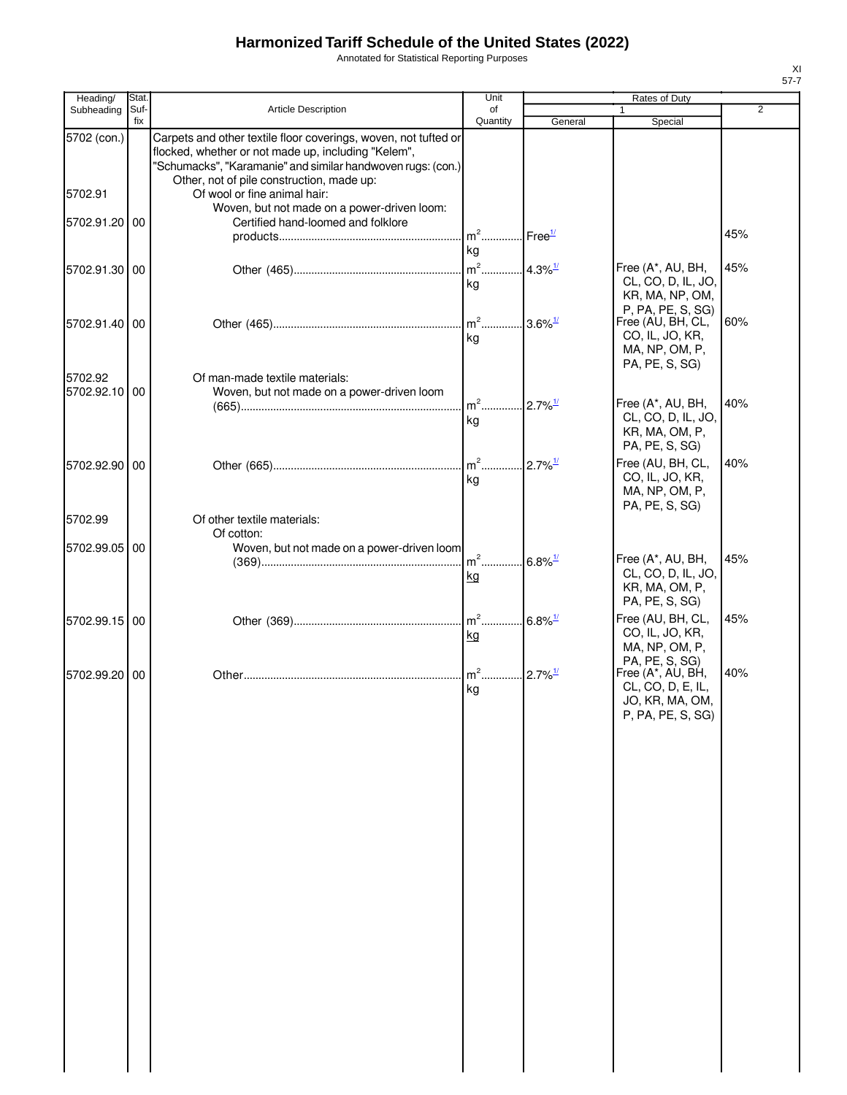Annotated for Statistical Reporting Purposes

| Heading/                 | Stat.       |                                                                                                                                                                                                                                    | Unit                                    |                        | Rates of Duty                                                                                    |                |
|--------------------------|-------------|------------------------------------------------------------------------------------------------------------------------------------------------------------------------------------------------------------------------------------|-----------------------------------------|------------------------|--------------------------------------------------------------------------------------------------|----------------|
| Subheading               | Suf-<br>fix | Article Description                                                                                                                                                                                                                | of<br>Quantity                          |                        |                                                                                                  | $\overline{2}$ |
| 5702 (con.)              |             | Carpets and other textile floor coverings, woven, not tufted or<br>flocked, whether or not made up, including "Kelem",<br>"Schumacks", "Karamanie" and similar handwoven rugs: (con.)<br>Other, not of pile construction, made up: |                                         | General                | Special                                                                                          |                |
| 5702.91                  |             | Of wool or fine animal hair:<br>Woven, but not made on a power-driven loom:                                                                                                                                                        |                                         |                        |                                                                                                  |                |
| 5702.91.20 00            |             | Certified hand-loomed and folklore                                                                                                                                                                                                 | $m2$ .                                  | Free <sup>1/</sup>     |                                                                                                  | 45%            |
| 5702.91.30 00            |             |                                                                                                                                                                                                                                    | kg<br>$m2$<br>kg                        | $4.3\%$ <sup>1/</sup>  | Free (A*, AU, BH,<br>CL, CO, D, IL, JO,<br>KR, MA, NP, OM,                                       | 45%            |
| 5702.91.40 00            |             |                                                                                                                                                                                                                                    | $m^2$<br>kg                             | $.3.6\%$ <sup>1/</sup> | P, PA, PE, S, SG)<br>Free (AU, BH, CL,<br>CO, IL, JO, KR,<br>MA, NP, OM, P,                      | 60%            |
| 5702.92<br>5702.92.10 00 |             | Of man-made textile materials:<br>Woven, but not made on a power-driven loom                                                                                                                                                       | $m^2$                                   | $.2.7\%$ <sup>1/</sup> | PA, PE, S, SG)<br>Free (A*, AU, BH,                                                              | 40%            |
|                          |             |                                                                                                                                                                                                                                    | kg                                      |                        | CL, CO, D, IL, JO,<br>KR, MA, OM, P,<br>PA, PE, S, SG)                                           |                |
| 5702.92.90 00            |             |                                                                                                                                                                                                                                    | $m2$<br>kg                              | $2.7\%$ <sup>1/</sup>  | Free (AU, BH, CL,<br>CO, IL, JO, KR,<br>MA, NP, OM, P,<br>PA, PE, S, SG)                         | 40%            |
| 5702.99                  |             | Of other textile materials:<br>Of cotton:                                                                                                                                                                                          |                                         |                        |                                                                                                  |                |
| 5702.99.05 00            |             | Woven, but not made on a power-driven loom                                                                                                                                                                                         | m <sup>2</sup> 6.8% <sup>1/</sup><br>kg |                        | Free (A*, AU, BH,<br>CL, CO, D, IL, JO,<br>KR, MA, OM, P,<br>PA, PE, S, SG)                      | 45%            |
| 5702.99.15 00            |             |                                                                                                                                                                                                                                    | $\mathsf{m}^2$<br><u>kg</u>             | $6.8\%$ <sup>1/</sup>  | Free (AU, BH, CL,<br>CO, IL, JO, KR,<br>MA, NP, OM, P,                                           | 45%            |
| 5702.99.20 00            |             |                                                                                                                                                                                                                                    | $m2$ .<br>kg                            | $2.7\%$ <sup>1/</sup>  | PA, PE, S, SG)<br>Free (A*, AU, BH,<br>CL, CO, D, E, IL,<br>JO, KR, MA, OM,<br>P, PA, PE, S, SG) | 40%            |
|                          |             |                                                                                                                                                                                                                                    |                                         |                        |                                                                                                  |                |
|                          |             |                                                                                                                                                                                                                                    |                                         |                        |                                                                                                  |                |
|                          |             |                                                                                                                                                                                                                                    |                                         |                        |                                                                                                  |                |
|                          |             |                                                                                                                                                                                                                                    |                                         |                        |                                                                                                  |                |
|                          |             |                                                                                                                                                                                                                                    |                                         |                        |                                                                                                  |                |
|                          |             |                                                                                                                                                                                                                                    |                                         |                        |                                                                                                  |                |
|                          |             |                                                                                                                                                                                                                                    |                                         |                        |                                                                                                  |                |
|                          |             |                                                                                                                                                                                                                                    |                                         |                        |                                                                                                  |                |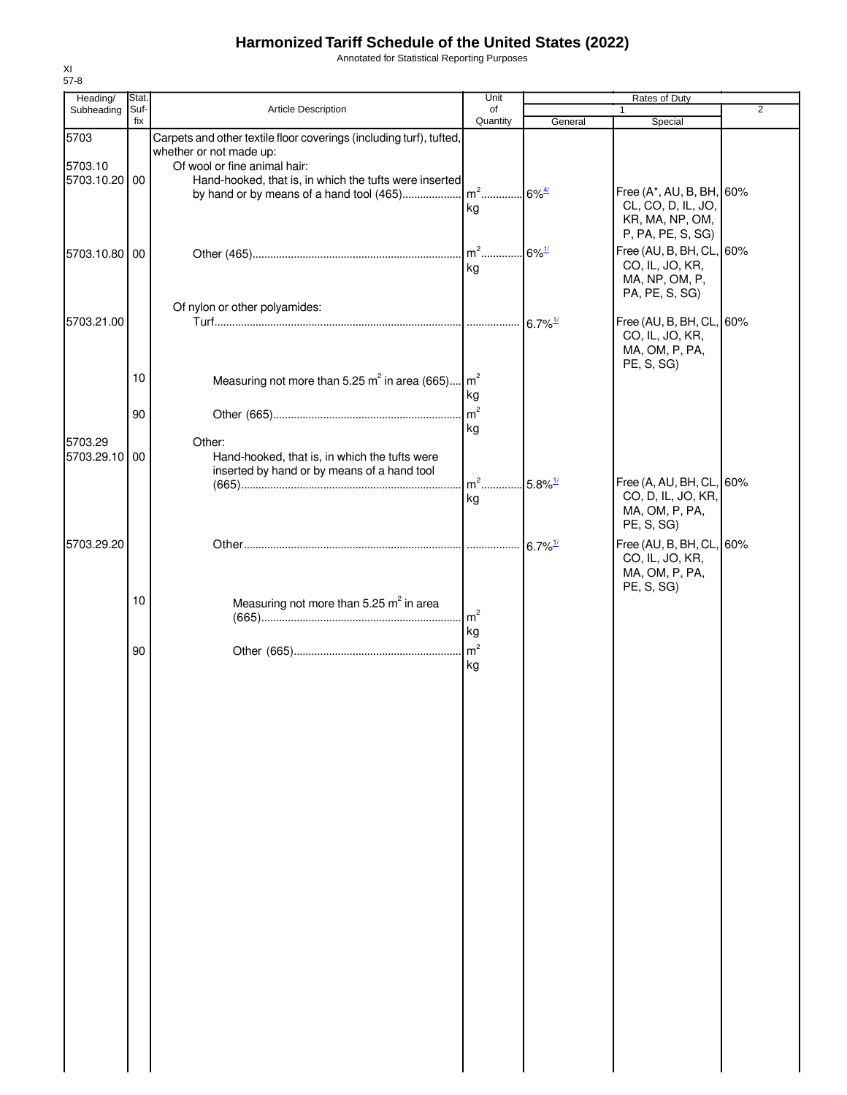Annotated for Statistical Reporting Purposes

| Heading/      | Stat. |                                                                     | Unit                                            | Rates of Duty         |                          |                |  |
|---------------|-------|---------------------------------------------------------------------|-------------------------------------------------|-----------------------|--------------------------|----------------|--|
| Subheading    | Suf-  | Article Description                                                 | of                                              |                       | $\mathbf{1}$             | $\overline{2}$ |  |
|               | fix   |                                                                     | Quantity                                        | General               | Special                  |                |  |
| 5703          |       | Carpets and other textile floor coverings (including turf), tufted, |                                                 |                       |                          |                |  |
|               |       | whether or not made up:                                             |                                                 |                       |                          |                |  |
| 5703.10       |       | Of wool or fine animal hair:                                        |                                                 |                       |                          |                |  |
| 5703.10.20 00 |       | Hand-hooked, that is, in which the tufts were inserted              |                                                 |                       |                          |                |  |
|               |       |                                                                     |                                                 | $.6\%$ <sup>4/</sup>  | Free (A*, AU, B, BH, 60% |                |  |
|               |       |                                                                     | kg                                              |                       | CL, CO, D, IL, JO,       |                |  |
|               |       |                                                                     |                                                 |                       | KR, MA, NP, OM,          |                |  |
|               |       |                                                                     |                                                 |                       | P, PA, PE, S, SG)        |                |  |
| 5703.10.80 00 |       |                                                                     | $m2$                                            | $6\%$ <sup>1/</sup>   | Free (AU, B, BH, CL, 60% |                |  |
|               |       |                                                                     | kg                                              |                       | CO, IL, JO, KR,          |                |  |
|               |       |                                                                     |                                                 |                       | MA, NP, OM, P,           |                |  |
|               |       |                                                                     |                                                 |                       | PA, PE, S, SG)           |                |  |
|               |       | Of nylon or other polyamides:                                       |                                                 |                       |                          |                |  |
| 5703.21.00    |       |                                                                     |                                                 | $6.7\%$ <sup>1/</sup> | Free (AU, B, BH, CL, 60% |                |  |
|               |       |                                                                     |                                                 |                       | CO, IL, JO, KR,          |                |  |
|               |       |                                                                     |                                                 |                       | MA, OM, P, PA,           |                |  |
|               |       |                                                                     |                                                 |                       | PE, S, SG)               |                |  |
|               | 10    | Measuring not more than 5.25 $m^2$ in area (665) $m^2$              |                                                 |                       |                          |                |  |
|               |       |                                                                     | kg                                              |                       |                          |                |  |
|               | 90    |                                                                     | $\mathsf{m}^2$                                  |                       |                          |                |  |
|               |       |                                                                     | kg                                              |                       |                          |                |  |
| 5703.29       |       | Other:                                                              |                                                 |                       |                          |                |  |
| 5703.29.10 00 |       | Hand-hooked, that is, in which the tufts were                       |                                                 |                       |                          |                |  |
|               |       | inserted by hand or by means of a hand tool                         |                                                 |                       |                          |                |  |
|               |       |                                                                     | $\frac{1}{2}$ m <sup>2</sup> 5.8% <sup>1/</sup> |                       | Free (A, AU, BH, CL, 60% |                |  |
|               |       |                                                                     | kg                                              |                       | CO, D, IL, JO, KR,       |                |  |
|               |       |                                                                     |                                                 |                       | MA, OM, P, PA,           |                |  |
|               |       |                                                                     |                                                 |                       | PE, S, SG)               |                |  |
| 5703.29.20    |       |                                                                     |                                                 |                       | Free (AU, B, BH, CL, 60% |                |  |
|               |       |                                                                     |                                                 |                       | CO, IL, JO, KR,          |                |  |
|               |       |                                                                     |                                                 |                       |                          |                |  |
|               |       |                                                                     |                                                 |                       | MA, OM, P, PA,           |                |  |
|               |       |                                                                     |                                                 |                       | PE, S, SG)               |                |  |
|               | 10    | Measuring not more than 5.25 m <sup>2</sup> in area                 |                                                 |                       |                          |                |  |
|               |       |                                                                     | $\mathsf{m}^2$                                  |                       |                          |                |  |
|               |       |                                                                     | kg                                              |                       |                          |                |  |
|               | 90    |                                                                     | $\mathsf{m}^2$                                  |                       |                          |                |  |
|               |       |                                                                     | kg                                              |                       |                          |                |  |
|               |       |                                                                     |                                                 |                       |                          |                |  |
|               |       |                                                                     |                                                 |                       |                          |                |  |
|               |       |                                                                     |                                                 |                       |                          |                |  |
|               |       |                                                                     |                                                 |                       |                          |                |  |
|               |       |                                                                     |                                                 |                       |                          |                |  |
|               |       |                                                                     |                                                 |                       |                          |                |  |
|               |       |                                                                     |                                                 |                       |                          |                |  |
|               |       |                                                                     |                                                 |                       |                          |                |  |
|               |       |                                                                     |                                                 |                       |                          |                |  |
|               |       |                                                                     |                                                 |                       |                          |                |  |
|               |       |                                                                     |                                                 |                       |                          |                |  |
|               |       |                                                                     |                                                 |                       |                          |                |  |
|               |       |                                                                     |                                                 |                       |                          |                |  |
|               |       |                                                                     |                                                 |                       |                          |                |  |
|               |       |                                                                     |                                                 |                       |                          |                |  |
|               |       |                                                                     |                                                 |                       |                          |                |  |
|               |       |                                                                     |                                                 |                       |                          |                |  |
|               |       |                                                                     |                                                 |                       |                          |                |  |
|               |       |                                                                     |                                                 |                       |                          |                |  |
|               |       |                                                                     |                                                 |                       |                          |                |  |
|               |       |                                                                     |                                                 |                       |                          |                |  |
|               |       |                                                                     |                                                 |                       |                          |                |  |
|               |       |                                                                     |                                                 |                       |                          |                |  |
|               |       |                                                                     |                                                 |                       |                          |                |  |
|               |       |                                                                     |                                                 |                       |                          |                |  |
|               |       |                                                                     |                                                 |                       |                          |                |  |
|               |       |                                                                     |                                                 |                       |                          |                |  |
|               |       |                                                                     |                                                 |                       |                          |                |  |
|               |       |                                                                     |                                                 |                       |                          |                |  |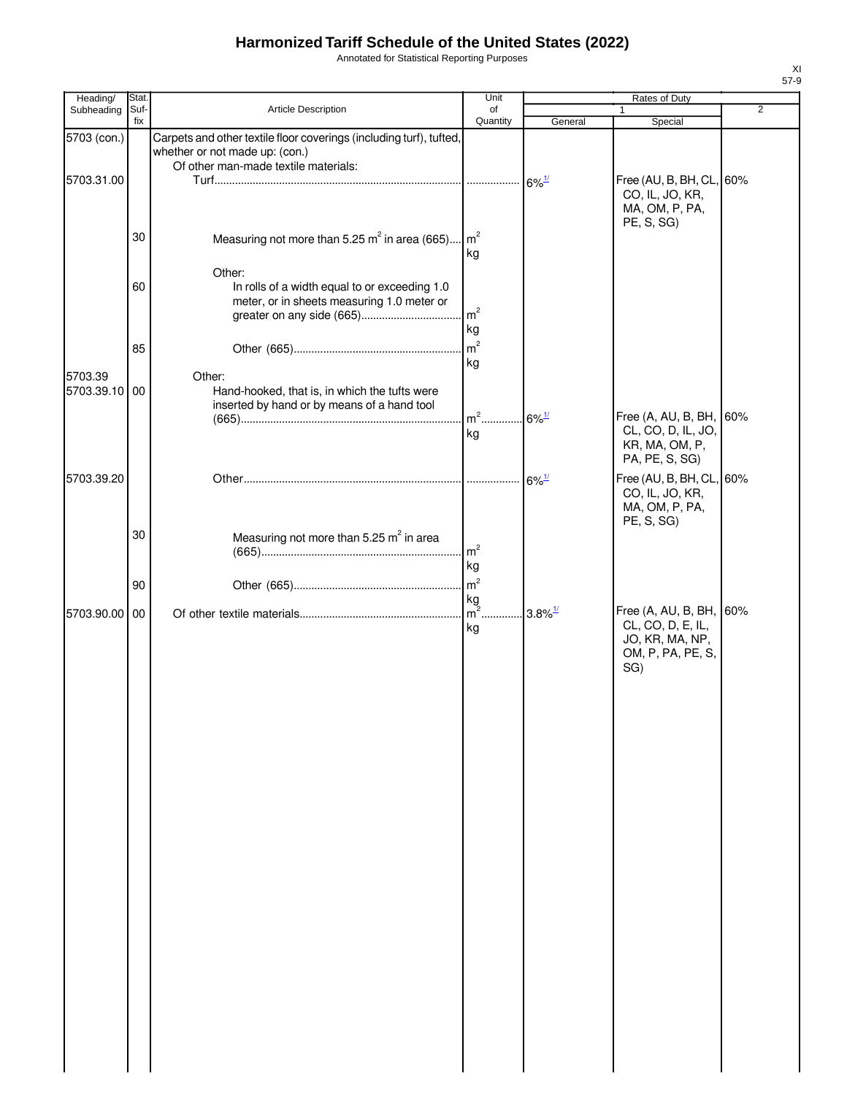Annotated for Statistical Reporting Purposes

| Heading/                 | Stat. |                                                                                                                                               | Unit                 |                       | Rates of Duty                                                                               |                |
|--------------------------|-------|-----------------------------------------------------------------------------------------------------------------------------------------------|----------------------|-----------------------|---------------------------------------------------------------------------------------------|----------------|
| Subheading               | Suf-  | Article Description                                                                                                                           | of                   |                       |                                                                                             | $\overline{2}$ |
|                          | fix   |                                                                                                                                               | Quantity             | General               | Special                                                                                     |                |
| 5703 (con.)              |       | Carpets and other textile floor coverings (including turf), tufted,<br>whether or not made up: (con.)<br>Of other man-made textile materials: |                      |                       |                                                                                             |                |
| 5703.31.00               |       |                                                                                                                                               |                      | $6\%$ <sup>1/</sup>   | Free (AU, B, BH, CL, 60%<br>CO, IL, JO, KR,<br>MA, OM, P, PA,<br>PE, S, SG)                 |                |
|                          | 30    | Measuring not more than 5.25 m <sup>2</sup> in area (665)                                                                                     | m <sup>2</sup><br>kg |                       |                                                                                             |                |
|                          | 60    | Other:<br>In rolls of a width equal to or exceeding 1.0<br>meter, or in sheets measuring 1.0 meter or                                         | m <sup>2</sup>       |                       |                                                                                             |                |
|                          | 85    |                                                                                                                                               | kg<br>m <sup>2</sup> |                       |                                                                                             |                |
| 5703.39<br>5703.39.10 00 |       | Other:<br>Hand-hooked, that is, in which the tufts were<br>inserted by hand or by means of a hand tool                                        | kg                   |                       |                                                                                             |                |
|                          |       |                                                                                                                                               | $m2$<br>kg           | $6\%$ <sup>1/</sup>   | Free (A, AU, B, BH, 60%<br>CL, CO, D, IL, JO,<br>KR, MA, OM, P,<br>PA, PE, S, SG)           |                |
| 5703.39.20               |       |                                                                                                                                               |                      | $6\%$ <sup>1/</sup>   | Free (AU, B, BH, CL, 60%<br>CO, IL, JO, KR,<br>MA, OM, P, PA,<br>PE, S, SG)                 |                |
|                          | 30    | Measuring not more than 5.25 m <sup>2</sup> in area                                                                                           | m <sup>2</sup><br>kg |                       |                                                                                             |                |
|                          | 90    |                                                                                                                                               | m <sup>2</sup>       |                       |                                                                                             |                |
| 5703.90.00 00            |       |                                                                                                                                               | kg<br>$m^2$<br>kg    | $3.8\%$ <sup>1/</sup> | Free (A, AU, B, BH, 60%<br>CL, CO, D, E, IL,<br>JO, KR, MA, NP,<br>OM, P, PA, PE, S,<br>SG) |                |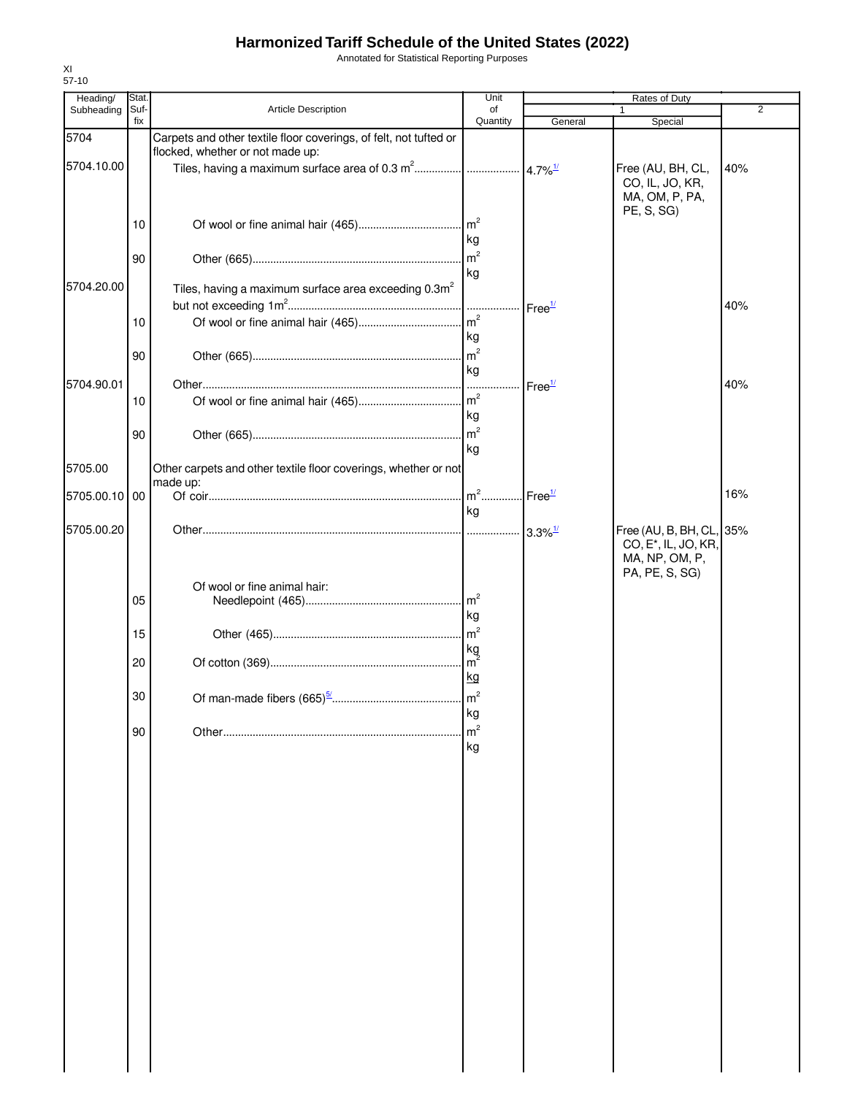Annotated for Statistical Reporting Purposes

| Heading/      | Stat. |                                                                   | Unit                       |                    | Rates of Duty                                                |     |
|---------------|-------|-------------------------------------------------------------------|----------------------------|--------------------|--------------------------------------------------------------|-----|
| Subheading    | Suf-  | <b>Article Description</b>                                        | of                         |                    |                                                              | 2   |
| 5704          | fix   | Carpets and other textile floor coverings, of felt, not tufted or | Quantity                   | General            | Special                                                      |     |
| 5704.10.00    |       | flocked, whether or not made up:                                  |                            |                    | Free (AU, BH, CL,<br>CO, IL, JO, KR,<br>MA, OM, P, PA,       | 40% |
|               | 10    |                                                                   | kg                         |                    | PE, S, SG)                                                   |     |
|               | 90    |                                                                   | $\mathsf{Im}^2$<br>kg      |                    |                                                              |     |
| 5704.20.00    |       | Tiles, having a maximum surface area exceeding 0.3m <sup>2</sup>  |                            | Free <sup>1/</sup> |                                                              | 40% |
|               | 10    |                                                                   | kg                         |                    |                                                              |     |
|               | 90    |                                                                   | kg                         |                    |                                                              |     |
| 5704.90.01    | 10    |                                                                   |                            | Free <sup>1/</sup> |                                                              | 40% |
|               | 90    |                                                                   | kg                         |                    |                                                              |     |
| 5705.00       |       | Other carpets and other textile floor coverings, whether or not   | kg                         |                    |                                                              |     |
| 5705.00.10 00 |       | made up:                                                          | $m^2$                      | Free <sup>1/</sup> |                                                              | 16% |
| 5705.00.20    |       |                                                                   | kg                         |                    | Free (AU, B, BH, CL, 35%<br>CO, E <sup>*</sup> , IL, JO, KR, |     |
|               | 05    | Of wool or fine animal hair:                                      |                            |                    | MA, NP, OM, P,<br>PA, PE, S, SG)                             |     |
|               | 15    |                                                                   | kg                         |                    |                                                              |     |
|               | 20    |                                                                   | kg<br>kg                   |                    |                                                              |     |
|               | 30    |                                                                   |                            |                    |                                                              |     |
|               | 90    |                                                                   | кg<br>m <sup>2</sup><br>kg |                    |                                                              |     |
|               |       |                                                                   |                            |                    |                                                              |     |
|               |       |                                                                   |                            |                    |                                                              |     |
|               |       |                                                                   |                            |                    |                                                              |     |
|               |       |                                                                   |                            |                    |                                                              |     |
|               |       |                                                                   |                            |                    |                                                              |     |
|               |       |                                                                   |                            |                    |                                                              |     |
|               |       |                                                                   |                            |                    |                                                              |     |
|               |       |                                                                   |                            |                    |                                                              |     |
|               |       |                                                                   |                            |                    |                                                              |     |
|               |       |                                                                   |                            |                    |                                                              |     |